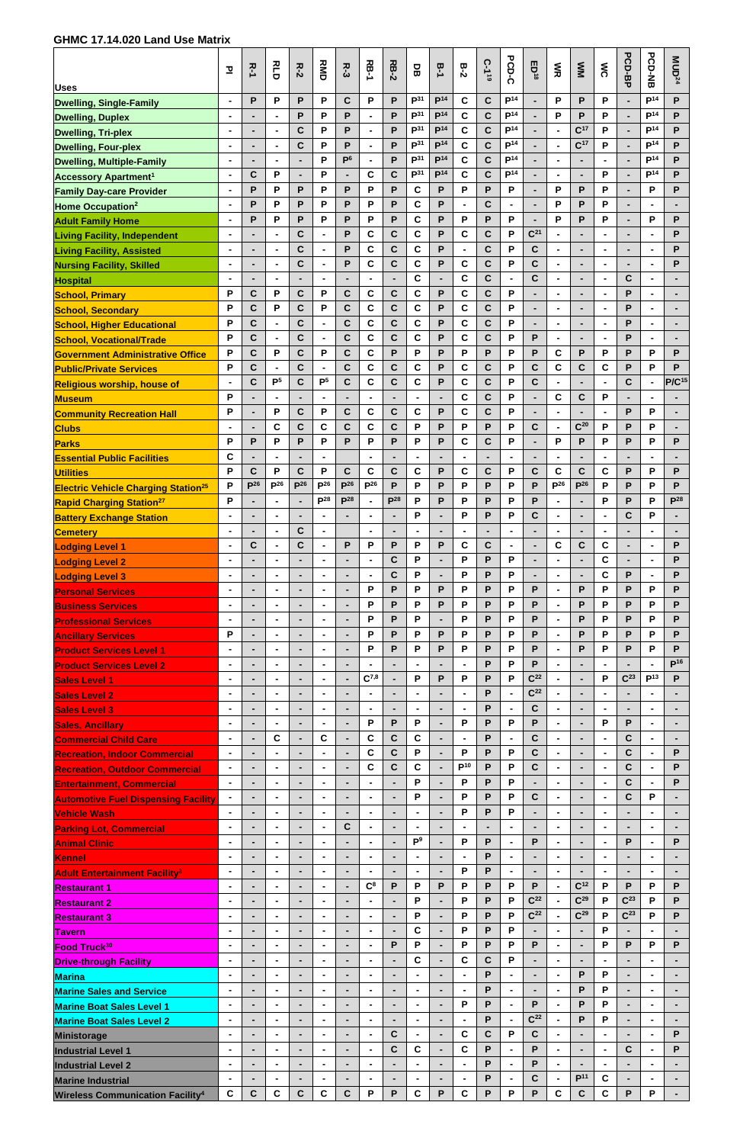## **GHMC 17.14.020 Land Use Matrix**

| <b>Uses</b>                                                                | 꼬                                | スーム         | а<br>Сп                          | $R-2$                    | <b>NB</b>                        | <b>R-3</b>       | <b>RB-1</b>                      | <b>RB-2</b>                   | 몽                                  | B-1                                | $B-2$               | C-1 <sup>19</sup>          | PCD-C                              | ED <sup>18</sup>    | m<br>R                                     | M                                  | ŠΚ                               | <b>PCD-BP</b>   | <b>PCD-NB</b>                      | MUD <sup>24</sup> |
|----------------------------------------------------------------------------|----------------------------------|-------------|----------------------------------|--------------------------|----------------------------------|------------------|----------------------------------|-------------------------------|------------------------------------|------------------------------------|---------------------|----------------------------|------------------------------------|---------------------|--------------------------------------------|------------------------------------|----------------------------------|-----------------|------------------------------------|-------------------|
| <b>Dwelling, Single-Family</b>                                             | $\blacksquare$                   | P           | P                                | P                        | P                                | $\mathbf C$      | P                                | P                             | P <sup>31</sup>                    | P <sup>14</sup>                    | C                   | $\mathbf C$                | P <sup>14</sup>                    |                     | P                                          | P                                  | P                                |                 | P <sup>14</sup>                    | P                 |
| <b>Dwelling, Duplex</b>                                                    | $\blacksquare$                   |             | $\blacksquare$                   | P                        | P                                | P                | $\blacksquare$                   | $\mathsf{P}$                  | P <sup>31</sup><br>P <sup>31</sup> | P <sup>14</sup><br>P <sup>14</sup> | $\mathbf c$         | $\mathbf c$                | P <sup>14</sup>                    |                     | P                                          | P                                  | P                                |                 | P <sup>14</sup>                    | P                 |
| <b>Dwelling, Tri-plex</b>                                                  | $\blacksquare$<br>$\blacksquare$ |             | $\blacksquare$<br>$\blacksquare$ | C<br>$\mathbf c$         | P<br>P                           | P<br>P           | $\blacksquare$<br>$\blacksquare$ | P<br>P                        | P <sup>31</sup>                    | P <sup>14</sup>                    | C<br>$\mathbf c$    | $\mathbf c$<br>$\mathbf c$ | P <sup>14</sup><br>P <sup>14</sup> |                     | $\blacksquare$<br>$\overline{\phantom{a}}$ | C <sup>17</sup><br>C <sup>17</sup> | P<br>P                           |                 | P <sup>14</sup><br>P <sup>14</sup> | P<br>P            |
| <b>Dwelling, Four-plex</b>                                                 |                                  |             | $\blacksquare$                   | ۰                        | P                                | P <sup>6</sup>   | $\blacksquare$                   | P                             | P <sup>31</sup>                    | P <sup>14</sup>                    | C                   | $\mathbf c$                | P <sup>14</sup>                    |                     | $\blacksquare$                             | ٠                                  | $\blacksquare$                   |                 | P <sup>14</sup>                    | P                 |
| <b>Dwelling, Multiple-Family</b><br><b>Accessory Apartment<sup>1</sup></b> | $\blacksquare$                   | $\mathbf c$ | P                                | ۰                        | P                                |                  | C                                | $\mathbf C$                   | P <sup>31</sup>                    | P <sup>14</sup>                    | $\mathbf c$         | $\mathbf c$                | P <sup>14</sup>                    |                     | $\blacksquare$                             | ۰                                  | P                                |                 | P <sup>14</sup>                    | P                 |
| <b>Family Day-care Provider</b>                                            | $\blacksquare$                   | P           | P                                | P                        | P                                | P                | P                                | P                             | C                                  | P                                  | P                   | P                          | P                                  |                     | P                                          | P                                  | P                                |                 | P                                  | P                 |
| Home Occupation <sup>2</sup>                                               | $\blacksquare$                   | P           | P                                | P                        | P                                | P                | P                                | P                             | C                                  | P                                  | $\blacksquare$      | $\mathbf C$                | $\blacksquare$                     | $\blacksquare$      | Р                                          | P                                  | P                                |                 | $\blacksquare$                     | $\blacksquare$    |
| <b>Adult Family Home</b>                                                   |                                  | P           | P                                | P                        | P                                | P                | P                                | P                             | $\mathbf c$                        | P                                  | P                   | P                          | P                                  |                     | P                                          | P                                  | P                                |                 | P                                  | P                 |
| <b>Living Facility, Independent</b>                                        | $\blacksquare$                   |             | $\blacksquare$                   | $\mathbf{C}$             | $\blacksquare$                   | P                | C                                | $\mathbf c$                   | $\mathbf c$                        | P                                  | C                   | $\mathbf C$                | P                                  | C <sup>21</sup>     | $\blacksquare$                             | $\overline{a}$                     | $\blacksquare$                   |                 | $\blacksquare$                     | P                 |
| <b>Living Facility, Assisted</b>                                           | $\blacksquare$                   |             | $\blacksquare$                   | $\mathbf C$              | $\blacksquare$                   | P                | C                                | $\mathbf C$                   | C                                  | P                                  | $\blacksquare$      | $\mathbf C$                | P                                  | $\mathbf C$         | $\blacksquare$                             | $\blacksquare$                     | $\blacksquare$                   |                 | $\blacksquare$                     | P                 |
| <b>Nursing Facility, Skilled</b>                                           | ۰                                |             | $\blacksquare$                   | $\mathbf c$              | $\blacksquare$                   | P                | C                                | $\mathbf c$                   | C                                  | P                                  | $\mathbf c$         | $\mathbf c$                | P                                  | $\mathbf c$         | $\blacksquare$                             |                                    |                                  |                 | $\blacksquare$                     | P                 |
| Hospital                                                                   | $\blacksquare$<br>P              | $\mathbf C$ | $\blacksquare$<br>P              | ۰<br>$\mathbf C$         | $\blacksquare$<br>P              | $\mathbf C$      | $\overline{a}$<br>C              | $\blacksquare$<br>$\mathbf C$ | $\mathbf c$<br>C                   | P                                  | C<br>C              | $\mathbf c$<br>$\mathbf c$ | $\blacksquare$<br>P                | $\mathbf c$         | $\blacksquare$<br>$\blacksquare$           | $\blacksquare$<br>$\blacksquare$   | $\blacksquare$<br>$\blacksquare$ | C<br>P          | $\blacksquare$<br>÷,               |                   |
| <b>School, Primary</b>                                                     | P                                | $\mathbf c$ | P                                | $\mathbf{C}$             | P                                | $\mathbf C$      | C                                | $\mathbf C$                   | $\mathbf c$                        | P                                  | C                   | $\mathbf c$                | P                                  |                     | ٠                                          | $\blacksquare$                     |                                  | P               | $\blacksquare$                     |                   |
| <b>School, Secondary</b><br><b>School, Higher Educational</b>              | P                                | $\mathbf c$ | $\blacksquare$                   | $\mathbf c$              | $\blacksquare$                   | $\mathbf C$      | C                                | $\mathbf c$                   | C                                  | P                                  | C                   | $\mathbf c$                | P                                  |                     | $\blacksquare$                             | ٠                                  | $\blacksquare$                   | P               | $\blacksquare$                     | $\blacksquare$    |
| <b>School, Vocational/Trade</b>                                            | P                                | $\mathbf c$ | $\blacksquare$                   | $\mathbf c$              | $\blacksquare$                   | $\mathbf C$      | C                                | $\mathbf c$                   | $\mathbf c$                        | P                                  | C                   | $\mathbf c$                | P                                  | P                   | $\blacksquare$                             |                                    | $\blacksquare$                   | P               | $\blacksquare$                     |                   |
| <b>Government Administrative Office</b>                                    | P                                | $\mathbf c$ | P                                | $\mathbf{C}$             | P                                | $\mathbf C$      | C                                | P                             | P                                  | P                                  | P                   | P                          | P                                  | P                   | C                                          | P                                  | P                                | P               | P                                  | P                 |
| <b>Public/Private Services</b>                                             | P                                | C           | $\blacksquare$                   | $\mathbf c$              | $\blacksquare$                   | $\mathbf c$      | C                                | $\mathbf C$                   | C                                  | P                                  | C                   | $\mathbf C$                | P                                  | $\mathbf c$         | C                                          | $\mathbf C$                        | C                                | P               | P                                  | P                 |
| <b>Religious worship, house of</b>                                         | $\blacksquare$                   | $\mathbf c$ | P <sup>5</sup>                   | $\mathbf c$              | P <sub>5</sub>                   | $\mathbf c$      | $\mathbf c$                      | $\mathbf c$                   | $\mathbf c$                        | P                                  | $\mathbf c$         | $\mathbf c$                | P                                  | $\mathbf c$         | $\blacksquare$                             |                                    |                                  | $\mathbf c$     | $\blacksquare$                     | P/C <sup>15</sup> |
| <b>Museum</b>                                                              | P                                |             | $\blacksquare$                   | ٠                        | $\blacksquare$                   |                  | $\blacksquare$                   | $\blacksquare$                | $\blacksquare$                     |                                    | C                   | C                          | P                                  |                     | C                                          | $\mathbf C$                        | P                                |                 | $\blacksquare$                     |                   |
| <b>Community Recreation Hall</b>                                           | P                                |             | P                                | $\mathbf c$              | P                                | $\mathbf c$      | C                                | $\mathbf C$                   | C                                  | P                                  | C                   | $\mathbf c$                | P                                  |                     | $\blacksquare$                             | $\blacksquare$                     | $\blacksquare$                   | P               | P                                  | $\blacksquare$    |
| <b>Clubs</b>                                                               | P                                | P           | C<br>P                           | $\mathbf c$<br>P         | C<br>P                           | $\mathbf C$<br>P | C<br>P                           | $\mathbf C$<br>P              | P<br>P                             | P<br>P                             | P<br>C              | P<br>$\mathbf c$           | P<br>P                             | $\mathbf c$         | P                                          | $C^{20}$<br>P                      | P<br>P                           | P<br>P          | P<br>P                             | P                 |
| <b>Parks</b><br><b>Essential Public Facilities</b>                         | C                                |             |                                  |                          |                                  |                  |                                  |                               |                                    |                                    |                     |                            |                                    |                     |                                            |                                    |                                  |                 |                                    |                   |
| <b>Utilities</b>                                                           | P                                | С           | P                                | С                        | Р                                | C                | С                                | C                             | C                                  | P                                  | C                   | С                          | Р                                  | C                   | C                                          | C                                  | С                                | P               | P                                  | P                 |
| <b>Electric Vehicle Charging Station<sup>25</sup></b>                      | P                                | $P^{26}$    | $P^{26}$                         | $P^{26}$                 | $P^{26}$                         | $P^{26}$         | $P^{26}$                         | P                             | P                                  | P                                  | P                   | P                          | P                                  | P                   | $P^{26}$                                   | $P^{26}$                           | P                                | P               | P                                  | P                 |
| <b>Rapid Charging Station</b> <sup>27</sup>                                | P                                |             |                                  |                          | P <sup>28</sup>                  | $P^{28}$         |                                  | $P^{28}$                      | P                                  | P                                  | P                   | P                          | Р                                  | P                   | $\blacksquare$                             |                                    | P                                | P               | P                                  | $P^{28}$          |
| <b>Battery Exchange Station</b>                                            |                                  |             | $\blacksquare$                   | $\blacksquare$           | $\blacksquare$                   |                  | $\blacksquare$                   | $\blacksquare$                | P                                  |                                    | P                   | P                          | P                                  | $\mathbf c$         | $\blacksquare$                             | $\blacksquare$                     |                                  | C               | P                                  |                   |
| <b>Cemetery</b>                                                            |                                  |             | ÷                                | $\mathbf c$              | $\blacksquare$                   |                  | $\blacksquare$                   | $\blacksquare$                |                                    |                                    | $\blacksquare$      | $\blacksquare$             | $\blacksquare$                     |                     | $\overline{\phantom{a}}$                   | ٠                                  |                                  |                 |                                    |                   |
| <b>Lodging Level 1</b>                                                     | $\blacksquare$                   | $\mathbf c$ | $\blacksquare$                   | $\mathbf c$              | $\blacksquare$                   | P                | P                                | P                             | P                                  | P                                  | $\mathbf c$         | $\mathbf c$                | $\blacksquare$                     |                     | C                                          | $\mathbf c$                        | C                                |                 | $\blacksquare$                     | P                 |
| <b>Lodging Level 2</b>                                                     |                                  |             | $\blacksquare$                   |                          | $\blacksquare$                   |                  | $\blacksquare$                   | $\mathbf C$                   | P                                  |                                    | P                   | P                          | P                                  |                     |                                            | ٠                                  | C                                |                 |                                    | P                 |
| <b>Lodging Level 3</b>                                                     |                                  |             | $\blacksquare$                   | $\blacksquare$           | $\blacksquare$                   |                  | $\overline{\phantom{a}}$<br>P    | $\mathbf C$<br>P              | P<br>P                             | P                                  | P<br>P              | P<br>P                     | P<br>P                             | P                   | $\blacksquare$                             | $\blacksquare$<br>P                | C<br>P                           | P<br>P          | $\blacksquare$<br>P                | P<br>P            |
| <b>Personal Services</b><br><b>Business Services</b>                       | -                                |             | $\blacksquare$                   | $\blacksquare$           | $\blacksquare$                   |                  | P                                | P                             | P                                  | P                                  | P                   | P                          | P                                  | P                   | $\blacksquare$                             | P                                  | P                                | P               | P                                  | P                 |
| <b>Professional Services</b>                                               | $\blacksquare$                   |             | $\blacksquare$                   | $\blacksquare$           | $\blacksquare$                   |                  | P                                | P                             | P                                  |                                    | P                   | P                          | P                                  | P                   | $\blacksquare$                             | P                                  | P                                | P               | P                                  | P                 |
| <b>Ancillary Services</b>                                                  | P                                |             | $\blacksquare$                   |                          |                                  |                  | P                                | P                             | P                                  | P                                  | P                   | P                          | P                                  | P                   |                                            | P                                  | P                                | P               | P                                  | P                 |
| <b>Product Services Level 1</b>                                            | $\blacksquare$                   |             | $\blacksquare$                   | ٠                        | $\blacksquare$                   |                  | P                                | P                             | P                                  | P                                  | P                   | P                          | P                                  | P                   | $\blacksquare$                             | ${\sf P}$                          | P                                | P               | P                                  | P                 |
| <b>Product Services Level 2</b>                                            | $\blacksquare$                   |             | $\blacksquare$                   | ۰                        | $\blacksquare$                   |                  |                                  |                               |                                    |                                    | $\blacksquare$      | P                          | P                                  | P                   | $\blacksquare$                             |                                    |                                  |                 |                                    | P <sup>16</sup>   |
| <b>Sales Level 1</b>                                                       |                                  |             |                                  | $\overline{\phantom{0}}$ | $\blacksquare$                   |                  | $\mathbf{C}^{7,8}$               |                               | P                                  | P                                  | P                   | P                          | P                                  | C <sup>22</sup>     |                                            |                                    | P                                | $C^{23}$        | P <sup>13</sup>                    | P                 |
| <b>Sales Level 2</b>                                                       |                                  |             | $\blacksquare$                   | ۰                        | $\blacksquare$                   |                  | $\blacksquare$                   |                               | $\blacksquare$                     |                                    | $\blacksquare$      | P                          | $\blacksquare$                     | $C^{22}$            | $\blacksquare$                             | ٠                                  |                                  |                 |                                    |                   |
| <b>Sales Level 3</b>                                                       | $\blacksquare$<br>$\blacksquare$ |             | $\blacksquare$                   | -                        | $\blacksquare$<br>$\blacksquare$ |                  | $\blacksquare$<br>P              | P                             | $\blacksquare$<br>P                |                                    | $\blacksquare$<br>P | P<br>P                     | $\blacksquare$<br>P                | $\mathbf C$<br>P    | $\blacksquare$                             | ٠                                  | $\blacksquare$<br>P              | P               | $\blacksquare$                     |                   |
| <b>Sales, Ancillary</b><br><b>Commercial Child Care</b>                    |                                  |             | C                                | $\blacksquare$           | $\mathbf c$                      |                  | C                                | $\mathbf C$                   | C                                  |                                    | $\blacksquare$      | P                          | $\blacksquare$                     | $\mathbf C$         | $\blacksquare$                             | $\blacksquare$                     | $\blacksquare$                   | C               | $\blacksquare$                     |                   |
| <b>Recreation, Indoor Commercial</b>                                       | ٠                                |             | $\blacksquare$                   |                          | $\blacksquare$                   |                  | C                                | $\mathbf C$                   | P                                  |                                    | P                   | P                          | P                                  | $\mathbf c$         | $\blacksquare$                             |                                    |                                  | $\mathbf c$     |                                    | P                 |
| <b>Recreation, Outdoor Commercial</b>                                      | $\blacksquare$                   |             | $\blacksquare$                   | ۰                        | $\blacksquare$                   |                  | C                                | $\mathbf C$                   | $\mathbf c$                        |                                    | P <sup>10</sup>     | P                          | P                                  | $\mathbf c$         | $\blacksquare$                             | ٠                                  |                                  | $\mathbf C$     | $\blacksquare$                     | P                 |
| <b>Entertainment, Commercial</b>                                           | $\blacksquare$                   |             | $\blacksquare$                   | $\blacksquare$           | $\blacksquare$                   |                  | $\overline{\phantom{a}}$         |                               | P                                  |                                    | P                   | P                          | P                                  |                     | $\blacksquare$                             | $\blacksquare$                     | $\blacksquare$                   | C               | $\blacksquare$                     | P                 |
| <b>Automotive Fuel Dispensing Facility</b>                                 |                                  |             | $\blacksquare$                   |                          |                                  |                  |                                  |                               | P                                  |                                    | P                   | P                          | P                                  | $\mathbf{C}$        |                                            |                                    |                                  | C               | P                                  |                   |
| <b>Vehicle Wash</b>                                                        |                                  |             | $\blacksquare$                   |                          | $\blacksquare$                   |                  | $\blacksquare$                   |                               |                                    |                                    | P                   | P                          | P                                  |                     | $\blacksquare$                             | -                                  |                                  |                 |                                    |                   |
| <b>Parking Lot, Commercial</b>                                             | $\blacksquare$                   |             | $\blacksquare$                   | $\blacksquare$           | $\blacksquare$                   | $\mathbf c$      | $\blacksquare$                   | $\blacksquare$                |                                    |                                    | $\blacksquare$      | $\blacksquare$             | $\blacksquare$                     |                     | $\blacksquare$                             | ٠                                  | $\blacksquare$                   |                 | $\blacksquare$                     |                   |
| <b>Animal Clinic</b>                                                       |                                  |             | $\blacksquare$<br>$\blacksquare$ | -<br>$\blacksquare$      | $\blacksquare$                   |                  | $\blacksquare$                   | $\blacksquare$                | P <sup>9</sup>                     |                                    | P<br>$\blacksquare$ | P<br>P                     | $\blacksquare$<br>$\blacksquare$   | P                   | $\blacksquare$                             | ٠                                  |                                  | P               |                                    | P                 |
| lKennel                                                                    |                                  |             |                                  |                          |                                  |                  |                                  |                               |                                    |                                    | P                   | P                          |                                    |                     |                                            |                                    |                                  |                 |                                    |                   |
| <b>Adult Entertainment Facility<sup>3</sup></b><br><u> Restaurant 1</u>    |                                  |             |                                  |                          |                                  |                  | $\mathbf{C}^8$                   | P                             | P                                  | P                                  | P                   | P                          | Ρ                                  | P                   |                                            | $C^{12}$                           | P                                | P               | P                                  | P                 |
| <b>Restaurant 2</b>                                                        | $\blacksquare$                   |             | $\blacksquare$                   | $\blacksquare$           | $\blacksquare$                   |                  | $\blacksquare$                   | $\blacksquare$                | P                                  |                                    | P                   | P                          | P                                  | $C^{22}$            | $\blacksquare$                             | C <sup>29</sup>                    | P                                | C <sup>23</sup> | P                                  | P                 |
| <b>Restaurant 3</b>                                                        | $\blacksquare$                   |             | $\blacksquare$                   | -                        | $\blacksquare$                   |                  | $\blacksquare$                   |                               | P                                  |                                    | Ρ                   | P                          | P                                  | $C^{22}$            | $\blacksquare$                             | C <sup>29</sup>                    | P                                | C <sup>23</sup> | P                                  | P                 |
| <b>Tavern</b>                                                              | $\blacksquare$                   |             | $\blacksquare$                   | ۰                        | $\blacksquare$                   |                  | $\blacksquare$                   | $\blacksquare$                | $\mathbf c$                        |                                    | P                   | P                          | P                                  |                     | $\blacksquare$                             |                                    | P                                |                 | $\blacksquare$                     |                   |
| Food Truck <sup>30</sup>                                                   | $\blacksquare$                   |             | $\blacksquare$                   | ۰                        | $\blacksquare$                   |                  | $\blacksquare$                   | Ρ                             | P                                  |                                    | Ρ                   | P                          | Ρ                                  | P                   | $\blacksquare$                             | ٠                                  | P                                | P               | P                                  | P                 |
| <b>Drive-through Facility</b>                                              | ۰                                |             | $\blacksquare$                   | $\blacksquare$           | -                                |                  | $\blacksquare$                   |                               | C                                  |                                    | C                   | $\mathbf{C}$               | P                                  |                     | $\blacksquare$                             | $\blacksquare$                     |                                  |                 | $\blacksquare$                     |                   |
| <b>Marina</b>                                                              | ۰                                |             | $\blacksquare$                   | ۰                        | Ξ.                               |                  | $\blacksquare$                   | $\blacksquare$                | $\blacksquare$                     |                                    | $\blacksquare$      | P                          | $\blacksquare$                     | $\blacksquare$      | $\blacksquare$                             | P                                  | P                                |                 | $\blacksquare$                     | ٠                 |
| <b>Marine Sales and Service</b>                                            | $\blacksquare$                   |             | $\blacksquare$                   | ٠                        | $\blacksquare$                   | $\blacksquare$   | $\blacksquare$                   | $\blacksquare$                | $\blacksquare$                     | $\blacksquare$                     | $\blacksquare$<br>P | P<br>P                     | $\blacksquare$<br>$\blacksquare$   | $\blacksquare$<br>P | $\blacksquare$                             | P<br>P                             | P<br>P                           |                 | $\blacksquare$                     | ٠                 |
| <b>Marine Boat Sales Level 1</b>                                           | $\blacksquare$<br>$\blacksquare$ |             | $\blacksquare$<br>$\blacksquare$ | ۰<br>٠                   | $\blacksquare$<br>$\blacksquare$ | -                | $\blacksquare$<br>$\blacksquare$ | $\blacksquare$                | $\blacksquare$<br>$\blacksquare$   |                                    | $\blacksquare$      | P                          | $\blacksquare$                     | C <sup>22</sup>     | $\blacksquare$<br>$\blacksquare$           | P                                  | P                                |                 | $\blacksquare$                     | ٠                 |
| <b>Marine Boat Sales Level 2</b><br><b>Ministorage</b>                     | $\blacksquare$                   |             | $\blacksquare$                   | ۰                        | $\blacksquare$                   |                  | $\blacksquare$                   | $\mathbf c$                   | $\blacksquare$                     | $\blacksquare$                     | $\mathbf c$         | $\mathbf C$                | Ρ                                  | C                   | $\blacksquare$                             | ٠                                  | $\blacksquare$                   |                 | $\blacksquare$                     | P                 |
| <b>Industrial Level 1</b>                                                  | $\blacksquare$                   |             | $\blacksquare$                   | ۰                        |                                  |                  | $\blacksquare$                   | $\mathbf C$                   | C                                  |                                    | $\mathbf c$         | P                          | $\blacksquare$                     | P                   |                                            | -                                  |                                  | C               | $\blacksquare$                     | P                 |
| <b>Industrial Level 2</b>                                                  | $\blacksquare$                   |             | $\blacksquare$                   | ۰                        | $\blacksquare$                   | $\blacksquare$   | $\blacksquare$                   | $\blacksquare$                | $\blacksquare$                     | $\blacksquare$                     | $\blacksquare$      | P                          | $\blacksquare$                     | P                   | $\blacksquare$                             | $\blacksquare$                     | $\blacksquare$                   |                 | $\blacksquare$                     | ٠                 |
| <b>Marine Industrial</b>                                                   | $\blacksquare$                   |             | $\blacksquare$                   |                          | Ξ.                               |                  | $\blacksquare$                   | $\blacksquare$                | $\blacksquare$                     |                                    | $\blacksquare$      | P                          | $\blacksquare$                     | $\mathbf C$         | $\blacksquare$                             | P <sup>11</sup>                    | C                                |                 | $\blacksquare$                     | ٠                 |
| <b>Wireless Communication Facility<sup>4</sup></b>                         | C                                | C           | C                                | C                        | $\mathbf c$                      | $\mathbf{C}$     | P                                | P                             | $\mathbf c$                        | P                                  | C                   | P                          | P                                  | P                   | C                                          | $\mathbf C$                        | C                                | P               | P                                  | $\blacksquare$    |